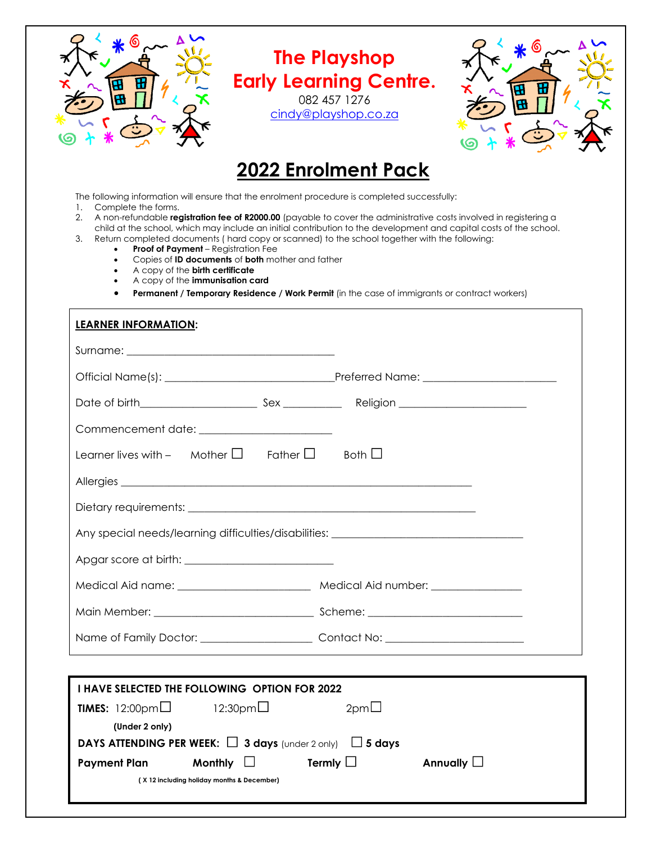

# **The Playshop Early Learning Centre.**

082 457 1276 [cindy@playshop.co.za](mailto:cindy@playshop.co.za)



# **2022 Enrolment Pack**

The following information will ensure that the enrolment procedure is completed successfully:

1. Complete the forms.

- 2. A non-refundable **registration fee of R2000.00** (payable to cover the administrative costs involved in registering a child at the school, which may include an initial contribution to the development and capital costs of the school.
- 3. Return completed documents ( hard copy or scanned) to the school together with the following:
	- **Proof of Payment** Registration Fee
	- Copies of **ID documents** of **both** mother and father
	- A copy of the **birth certificate**
	- A copy of the **immunisation card**
	- **Permanent / Temporary Residence / Work Permit** (in the case of immigrants or contract workers)

| <b>LEARNER INFORMATION:</b>                                                           |                                                                                   |
|---------------------------------------------------------------------------------------|-----------------------------------------------------------------------------------|
|                                                                                       |                                                                                   |
|                                                                                       |                                                                                   |
|                                                                                       |                                                                                   |
|                                                                                       |                                                                                   |
| Learner lives with - Mother $\square$ Father $\square$ Both $\square$                 |                                                                                   |
|                                                                                       |                                                                                   |
|                                                                                       |                                                                                   |
|                                                                                       | Any special needs/learning difficulties/disabilities: ___________________________ |
|                                                                                       |                                                                                   |
|                                                                                       | Medical Aid name: ___________________________ Medical Aid number: ______________  |
|                                                                                       |                                                                                   |
|                                                                                       | Name of Family Doctor: Contact No: Contact No:                                    |
|                                                                                       |                                                                                   |
| <b>I HAVE SELECTED THE FOLLOWING OPTION FOR 2022</b>                                  |                                                                                   |
| <b>TIMES:</b> $12:00 \text{pm}$ 12:30pm                                               | $2pm\square$                                                                      |
| (Under 2 only)<br>DAYS ATTENDING PER WEEK: $\Box$ 3 days (under 2 only) $\Box$ 5 days |                                                                                   |
| Payment Plan Monthly $\Box$                                                           | Termly $\Box$<br>Annually $\Box$                                                  |
| (X 12 including holiday months & December)                                            |                                                                                   |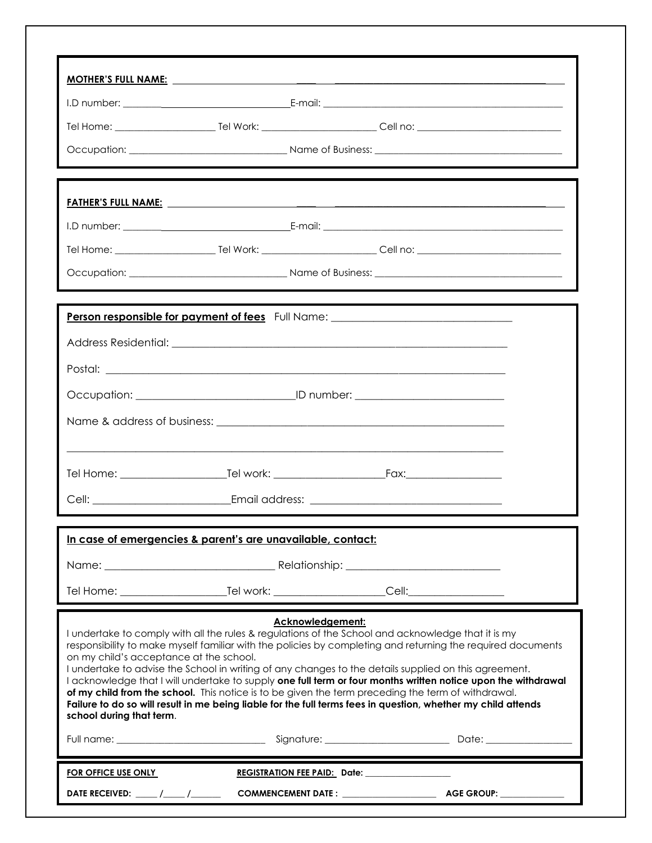|                                                                     | Person responsible for payment of fees Full Name: ______________________________                                                                                                                                                                                                                                                                                                                                                                                                                                                                                                                                                                                                       |  |
|---------------------------------------------------------------------|----------------------------------------------------------------------------------------------------------------------------------------------------------------------------------------------------------------------------------------------------------------------------------------------------------------------------------------------------------------------------------------------------------------------------------------------------------------------------------------------------------------------------------------------------------------------------------------------------------------------------------------------------------------------------------------|--|
|                                                                     |                                                                                                                                                                                                                                                                                                                                                                                                                                                                                                                                                                                                                                                                                        |  |
|                                                                     |                                                                                                                                                                                                                                                                                                                                                                                                                                                                                                                                                                                                                                                                                        |  |
|                                                                     |                                                                                                                                                                                                                                                                                                                                                                                                                                                                                                                                                                                                                                                                                        |  |
|                                                                     |                                                                                                                                                                                                                                                                                                                                                                                                                                                                                                                                                                                                                                                                                        |  |
|                                                                     |                                                                                                                                                                                                                                                                                                                                                                                                                                                                                                                                                                                                                                                                                        |  |
|                                                                     |                                                                                                                                                                                                                                                                                                                                                                                                                                                                                                                                                                                                                                                                                        |  |
|                                                                     |                                                                                                                                                                                                                                                                                                                                                                                                                                                                                                                                                                                                                                                                                        |  |
|                                                                     | In case of emergencies & parent's are unavailable, contact:                                                                                                                                                                                                                                                                                                                                                                                                                                                                                                                                                                                                                            |  |
|                                                                     |                                                                                                                                                                                                                                                                                                                                                                                                                                                                                                                                                                                                                                                                                        |  |
|                                                                     |                                                                                                                                                                                                                                                                                                                                                                                                                                                                                                                                                                                                                                                                                        |  |
| on my child's acceptance at the school.<br>school during that term. | Acknowledgement:<br>I undertake to comply with all the rules & regulations of the School and acknowledge that it is my<br>responsibility to make myself familiar with the policies by completing and returning the required documents<br>I undertake to advise the School in writing of any changes to the details supplied on this agreement.<br>I acknowledge that I will undertake to supply one full term or four months written notice upon the withdrawal<br>of my child from the school. This notice is to be given the term preceding the term of withdrawal.<br>Failure to do so will result in me being liable for the full terms fees in question, whether my child attends |  |
|                                                                     |                                                                                                                                                                                                                                                                                                                                                                                                                                                                                                                                                                                                                                                                                        |  |
| FOR OFFICE USE ONLY                                                 | <b>REGISTRATION FEE PAID: Date:</b>                                                                                                                                                                                                                                                                                                                                                                                                                                                                                                                                                                                                                                                    |  |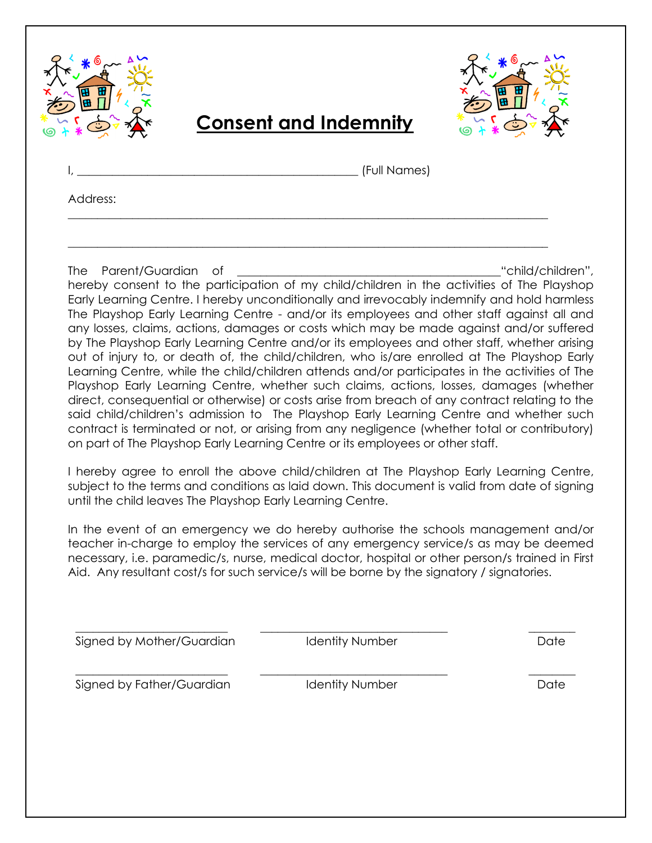



# **Consent and Indemnity**

\_\_\_\_\_\_\_\_\_\_\_\_\_\_\_\_\_\_\_\_\_\_\_\_\_\_\_\_\_\_\_\_\_\_\_\_\_\_\_\_\_\_\_\_\_\_\_\_\_\_\_\_\_\_\_\_\_\_\_\_\_\_\_\_\_\_\_\_\_\_\_\_\_\_\_\_\_\_\_\_\_\_

\_\_\_\_\_\_\_\_\_\_\_\_\_\_\_\_\_\_\_\_\_\_\_\_\_\_\_\_\_\_\_\_\_\_\_\_\_\_\_\_\_\_\_\_\_\_\_\_\_\_\_\_\_\_\_\_\_\_\_\_\_\_\_\_\_\_\_\_\_\_\_\_\_\_\_\_\_\_\_\_\_\_

 $\_$  (Full Names)

Address:

The Parent/Guardian of **Exercise 2018** (Separation 1) the Parent/Guardian of the set of the set of the set of the set of the set of the set of the set of the set of the set of the set of the set of the set of the set of th hereby consent to the participation of my child/children in the activities of The Playshop Early Learning Centre. I hereby unconditionally and irrevocably indemnify and hold harmless The Playshop Early Learning Centre - and/or its employees and other staff against all and any losses, claims, actions, damages or costs which may be made against and/or suffered by The Playshop Early Learning Centre and/or its employees and other staff, whether arising out of injury to, or death of, the child/children, who is/are enrolled at The Playshop Early Learning Centre, while the child/children attends and/or participates in the activities of The Playshop Early Learning Centre, whether such claims, actions, losses, damages (whether direct, consequential or otherwise) or costs arise from breach of any contract relating to the said child/children's admission to The Playshop Early Learning Centre and whether such contract is terminated or not, or arising from any negligence (whether total or contributory) on part of The Playshop Early Learning Centre or its employees or other staff.

I hereby agree to enroll the above child/children at The Playshop Early Learning Centre, subject to the terms and conditions as laid down. This document is valid from date of signing until the child leaves The Playshop Early Learning Centre.

In the event of an emergency we do hereby authorise the schools management and/or teacher in-charge to employ the services of any emergency service/s as may be deemed necessary, i.e. paramedic/s, nurse, medical doctor, hospital or other person/s trained in First Aid. Any resultant cost/s for such service/s will be borne by the signatory / signatories.

Signed by Mother/Guardian **Identity Number Identity Number IDentity** Date

\_\_\_\_\_\_\_\_\_\_\_\_\_\_\_\_\_\_\_\_\_\_\_\_\_\_ \_\_\_\_\_\_\_\_\_\_\_\_\_\_\_\_\_\_\_\_\_\_\_\_\_\_\_\_\_\_\_\_ \_\_\_\_\_\_\_\_

\_\_\_\_\_\_\_\_\_\_\_\_\_\_\_\_\_\_\_\_\_\_\_\_\_\_ \_\_\_\_\_\_\_\_\_\_\_\_\_\_\_\_\_\_\_\_\_\_\_\_\_\_\_\_\_\_\_\_ \_\_\_\_\_\_\_\_ Signed by Father/Guardian and Identity Number and Date Date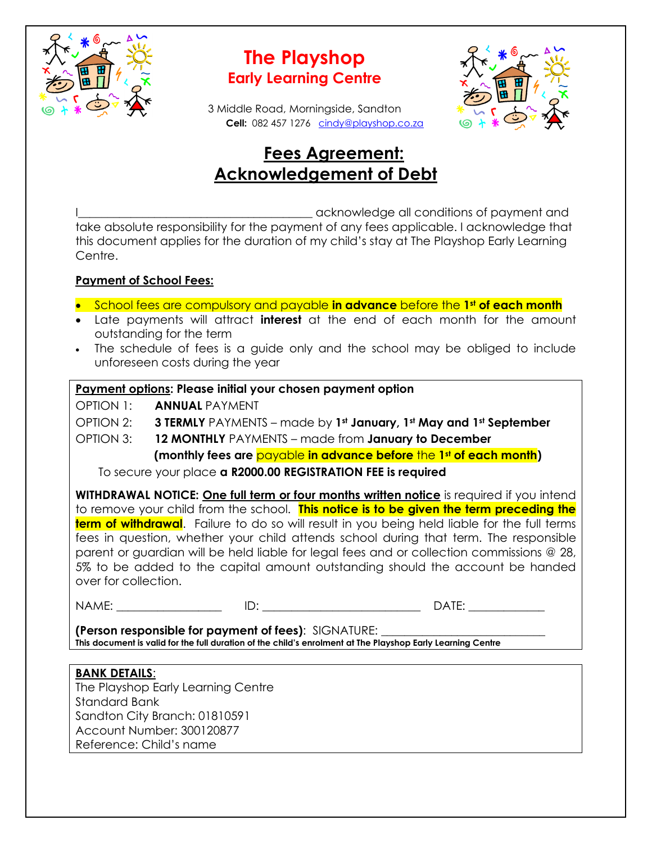

## **The Playshop Early Learning Centre**

3 Middle Road, Morningside, Sandton  **Cell:** 082 457 1276 [cindy@playshop.co.za](mailto:cindy@playshop.co.za)



## **Fees Agreement: Acknowledgement of Debt**

acknowledge all conditions of payment and take absolute responsibility for the payment of any fees applicable. I acknowledge that this document applies for the duration of my child's stay at The Playshop Early Learning Centre.

## **Payment of School Fees:**

- School fees are compulsory and payable **in advance** before the **1st of each month**
- Late payments will attract **interest** at the end of each month for the amount outstanding for the term
- The schedule of fees is a guide only and the school may be obliged to include unforeseen costs during the year

## **Payment options: Please initial your chosen payment option**

OPTION 1: **ANNUAL** PAYMENT

OPTION 2: **3 TERMLY** PAYMENTS – made by **1st January, 1st May and 1st September**

OPTION 3: **12 MONTHLY** PAYMENTS – made from **January to December**

 **(monthly fees are** payable **in advance before** the **1st of each month)**

To secure your place **a R2000.00 REGISTRATION FEE is required**

**WITHDRAWAL NOTICE: One full term or four months written notice** is required if you intend to remove your child from the school. **This notice is to be given the term preceding the term of withdrawal**. Failure to do so will result in you being held liable for the full terms fees in question, whether your child attends school during that term. The responsible parent or guardian will be held liable for legal fees and or collection commissions @ 28, 5% to be added to the capital amount outstanding should the account be handed over for collection.

NAME: \_\_\_\_\_\_\_\_\_\_\_\_\_\_\_\_\_\_ ID: \_\_\_\_\_\_\_\_\_\_\_\_\_\_\_\_\_\_\_\_\_\_\_\_\_\_\_ DATE: \_\_\_\_\_\_\_\_\_\_\_\_\_

**(Person responsible for payment of fees)**: SIGNATURE: \_\_\_\_\_\_\_\_\_\_\_\_\_\_\_\_\_\_\_\_\_\_\_\_\_\_\_\_ **This document is valid for the full duration of the child's enrolment at The Playshop Early Learning Centre**

## **BANK DETAILS**:

The Playshop Early Learning Centre Standard Bank Sandton City Branch: 01810591 Account Number: 300120877 Reference: Child's name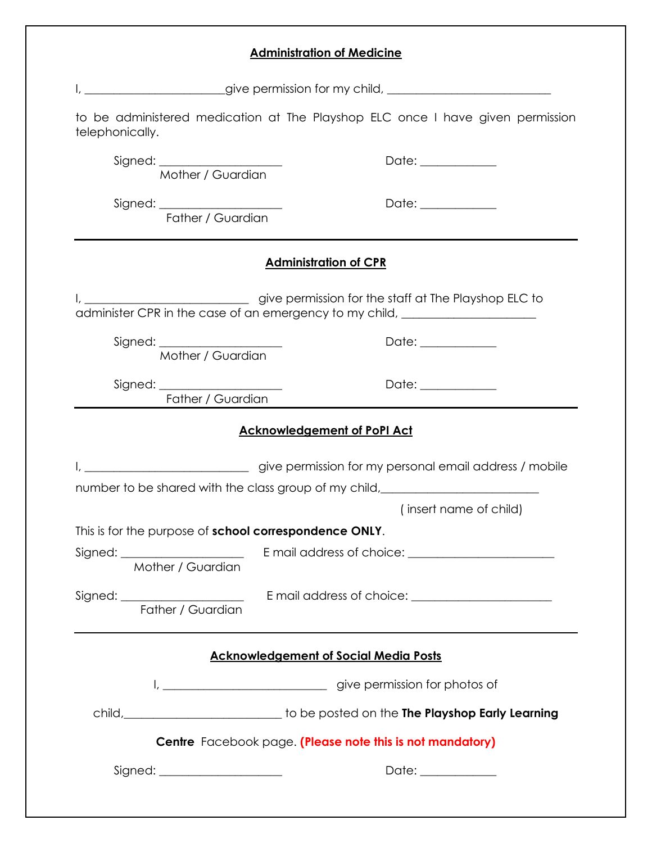| <b>Administration of Medicine</b>                      |                                                                                                                                                                                                                                      |  |  |  |
|--------------------------------------------------------|--------------------------------------------------------------------------------------------------------------------------------------------------------------------------------------------------------------------------------------|--|--|--|
|                                                        | give permission for my child, <b>with the contract of the contract of the contract of the contract of the contract of the contract of the contract of the contract of the contract of the contract of the contract of the contra</b> |  |  |  |
| telephonically.                                        | to be administered medication at The Playshop ELC once I have given permission                                                                                                                                                       |  |  |  |
| Signed: Mother / Guardian                              | Date: ______________                                                                                                                                                                                                                 |  |  |  |
| Signed: Father / Guardian                              | Date: ____________                                                                                                                                                                                                                   |  |  |  |
|                                                        | <b>Administration of CPR</b>                                                                                                                                                                                                         |  |  |  |
|                                                        |                                                                                                                                                                                                                                      |  |  |  |
| Signed: _______________________<br>Mother / Guardian   | Date: ____________                                                                                                                                                                                                                   |  |  |  |
| Father / Guardian                                      | Date: ___________                                                                                                                                                                                                                    |  |  |  |
|                                                        | <b>Acknowledgement of PoPI Act</b>                                                                                                                                                                                                   |  |  |  |
|                                                        | give permission for my personal email address / mobile                                                                                                                                                                               |  |  |  |
|                                                        | number to be shared with the class group of my child, __________________________<br>(insert name of child)                                                                                                                           |  |  |  |
| This is for the purpose of school correspondence ONLY. |                                                                                                                                                                                                                                      |  |  |  |
| Mother / Guardian                                      |                                                                                                                                                                                                                                      |  |  |  |
|                                                        |                                                                                                                                                                                                                                      |  |  |  |
|                                                        | <b>Acknowledgement of Social Media Posts</b>                                                                                                                                                                                         |  |  |  |
|                                                        |                                                                                                                                                                                                                                      |  |  |  |
|                                                        | child,____________________________to be posted on the The Playshop Early Learning                                                                                                                                                    |  |  |  |
|                                                        | Centre Facebook page. (Please note this is not mandatory)                                                                                                                                                                            |  |  |  |
| Signed: _______________________                        | Date: ____________                                                                                                                                                                                                                   |  |  |  |